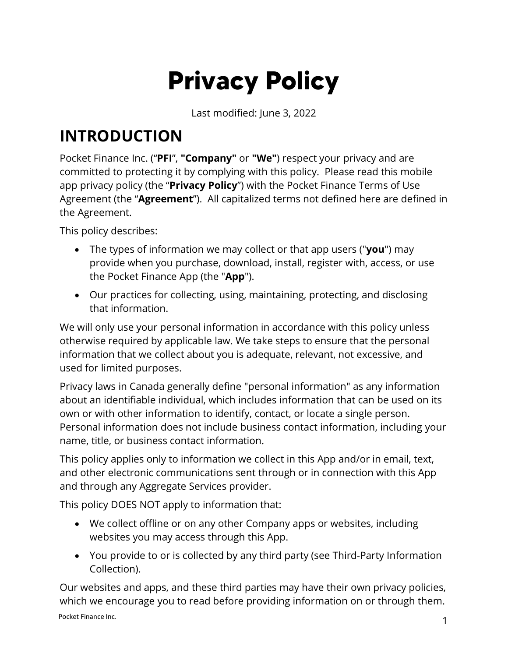# **Privacy Policy**

Last modified: June 3, 2022

#### **INTRODUCTION**

Pocket Finance Inc. ("**PFI**", **"Company"** or **"We"**) respect your privacy and are committed to protecting it by complying with this policy. Please read this mobile app privacy policy (the "**Privacy Policy**") with the Pocket Finance Terms of Use Agreement (the "**Agreement**"). All capitalized terms not defined here are defined in the Agreement.

This policy describes:

- The types of information we may collect or that app users ("**you**") may provide when you purchase, download, install, register with, access, or use the Pocket Finance App (the "**App**").
- Our practices for collecting, using, maintaining, protecting, and disclosing that information.

We will only use your personal information in accordance with this policy unless otherwise required by applicable law. We take steps to ensure that the personal information that we collect about you is adequate, relevant, not excessive, and used for limited purposes.

Privacy laws in Canada generally define "personal information" as any information about an identifiable individual, which includes information that can be used on its own or with other information to identify, contact, or locate a single person. Personal information does not include business contact information, including your name, title, or business contact information.

This policy applies only to information we collect in this App and/or in email, text, and other electronic communications sent through or in connection with this App and through any Aggregate Services provider.

This policy DOES NOT apply to information that:

- We collect offline or on any other Company apps or websites, including websites you may access through this App.
- You provide to or is collected by any third party (see [Third-Party Information](#page-4-0)  [Collection\)](#page-4-0).

Pocket Finance Inc. 1 Our websites and apps, and these third parties may have their own privacy policies, which we encourage you to read before providing information on or through them.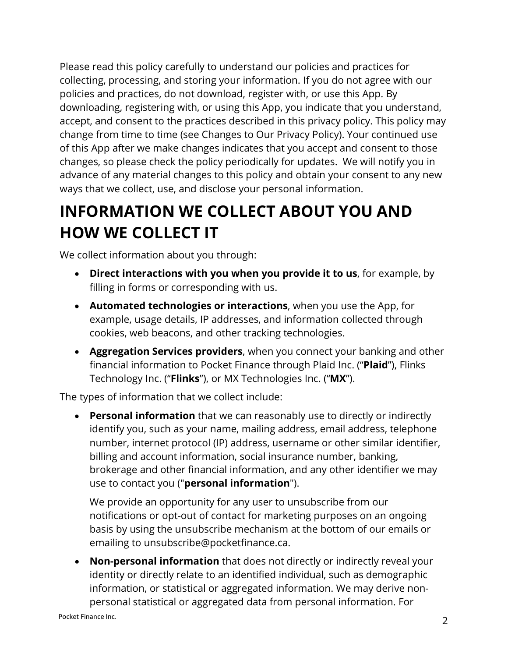Please read this policy carefully to understand our policies and practices for collecting, processing, and storing your information. If you do not agree with our policies and practices, do not download, register with, or use this App. By downloading, registering with, or using this App, you indicate that you understand, accept, and consent to the practices described in this privacy policy. This policy may change from time to time (see [Changes to Our Privacy Policy\)](#page-11-0). Your continued use of this App after we make changes indicates that you accept and consent to those changes, so please check the policy periodically for updates. We will notify you in advance of any material changes to this policy and obtain your consent to any new ways that we collect, use, and disclose your personal information.

## **INFORMATION WE COLLECT ABOUT YOU AND HOW WE COLLECT IT**

We collect information about you through:

- **Direct interactions with you when you provide it to us**, for example, by filling in forms or corresponding with us.
- **Automated technologies or interactions**, when you use the App, for example, usage details, IP addresses, and information collected through cookies, web beacons, and other tracking technologies.
- **Aggregation Services providers**, when you connect your banking and other financial information to Pocket Finance through Plaid Inc. ("**Plaid**"), Flinks Technology Inc. ("**Flinks**"), or MX Technologies Inc. ("**MX**").

The types of information that we collect include:

• **Personal information** that we can reasonably use to directly or indirectly identify you, such as your name, mailing address, email address, telephone number, internet protocol (IP) address, username or other similar identifier, billing and account information, social insurance number, banking, brokerage and other financial information, and any other identifier we may use to contact you ("**personal information**").

We provide an opportunity for any user to unsubscribe from our notifications or opt-out of contact for marketing purposes on an ongoing basis by using the unsubscribe mechanism at the bottom of our emails or emailing to unsubscribe@pocketfinance.ca.

• **Non-personal information** that does not directly or indirectly reveal your identity or directly relate to an identified individual, such as demographic information, or statistical or aggregated information. We may derive nonpersonal statistical or aggregated data from personal information. For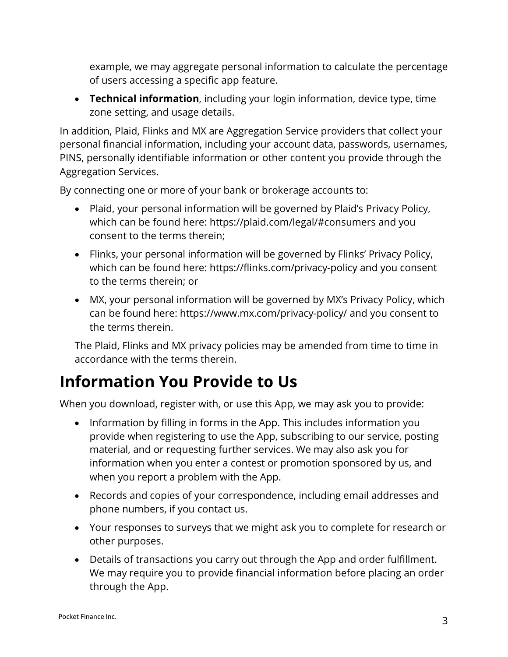example, we may aggregate personal information to calculate the percentage of users accessing a specific app feature.

• **Technical information**, including your login information, device type, time zone setting, and usage details.

In addition, Plaid, Flinks and MX are Aggregation Service providers that collect your personal financial information, including your account data, passwords, usernames, PINS, personally identifiable information or other content you provide through the Aggregation Services.

By connecting one or more of your bank or brokerage accounts to:

- Plaid, your personal information will be governed by Plaid's Privacy Policy, which can be found here:<https://plaid.com/legal/#consumers> and you consent to the terms therein;
- Flinks, your personal information will be governed by Flinks' Privacy Policy, which can be found here:<https://flinks.com/privacy-policy> and you consent to the terms therein; or
- MX, your personal information will be governed by MX's Privacy Policy, which can be found here: <https://www.mx.com/privacy-policy/> and you consent to the terms therein.

The Plaid, Flinks and MX privacy policies may be amended from time to time in accordance with the terms therein.

#### **Information You Provide to Us**

When you download, register with, or use this App, we may ask you to provide:

- Information by filling in forms in the App. This includes information you provide when registering to use the App, subscribing to our service, posting material, and or requesting further services. We may also ask you for information when you enter a contest or promotion sponsored by us, and when you report a problem with the App.
- Records and copies of your correspondence, including email addresses and phone numbers, if you contact us.
- Your responses to surveys that we might ask you to complete for research or other purposes.
- Details of transactions you carry out through the App and order fulfillment. We may require you to provide financial information before placing an order through the App.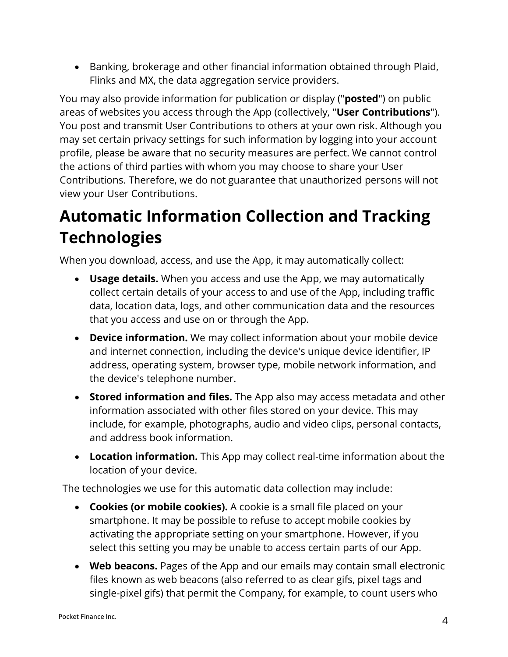• Banking, brokerage and other financial information obtained through Plaid, Flinks and MX, the data aggregation service providers.

You may also provide information for publication or display ("**posted**") on public areas of websites you access through the App (collectively, "**User Contributions**"). You post and transmit User Contributions to others at your own risk. Although you may set certain privacy settings for such information by logging into your account profile, please be aware that no security measures are perfect. We cannot control the actions of third parties with whom you may choose to share your User Contributions. Therefore, we do not guarantee that unauthorized persons will not view your User Contributions.

#### <span id="page-3-0"></span>**Automatic Information Collection and Tracking Technologies**

When you download, access, and use the App, it may automatically collect:

- **Usage details.** When you access and use the App, we may automatically collect certain details of your access to and use of the App, including traffic data, location data, logs, and other communication data and the resources that you access and use on or through the App.
- **Device information.** We may collect information about your mobile device and internet connection, including the device's unique device identifier, IP address, operating system, browser type, mobile network information, and the device's telephone number.
- **Stored information and files.** The App also may access metadata and other information associated with other files stored on your device. This may include, for example, photographs, audio and video clips, personal contacts, and address book information.
- **Location information.** This App may collect real-time information about the location of your device.

The technologies we use for this automatic data collection may include:

- **Cookies (or mobile cookies).** A cookie is a small file placed on your smartphone. It may be possible to refuse to accept mobile cookies by activating the appropriate setting on your smartphone. However, if you select this setting you may be unable to access certain parts of our App.
- **Web beacons.** Pages of the App and our emails may contain small electronic files known as web beacons (also referred to as clear gifs, pixel tags and single-pixel gifs) that permit the Company, for example, to count users who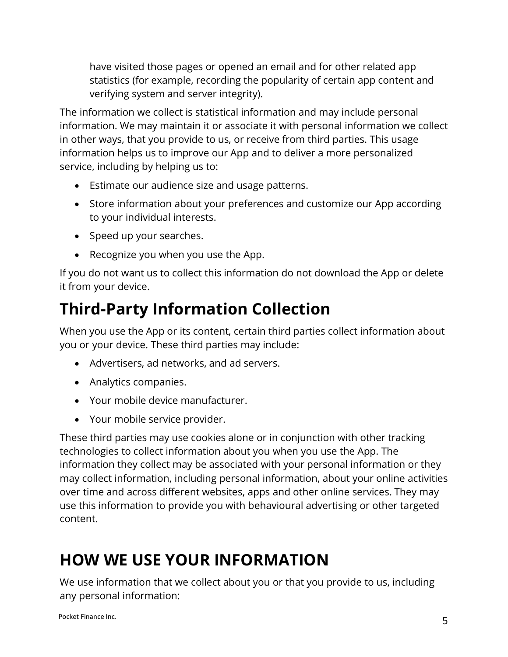have visited those pages or opened an email and for other related app statistics (for example, recording the popularity of certain app content and verifying system and server integrity).

The information we collect is statistical information and may include personal information. We may maintain it or associate it with personal information we collect in other ways, that you provide to us, or receive from third parties. This usage information helps us to improve our App and to deliver a more personalized service, including by helping us to:

- Estimate our audience size and usage patterns.
- Store information about your preferences and customize our App according to your individual interests.
- Speed up your searches.
- Recognize you when you use the App.

If you do not want us to collect this information do not download the App or delete it from your device.

#### <span id="page-4-0"></span>**Third-Party Information Collection**

When you use the App or its content, certain third parties collect information about you or your device. These third parties may include:

- Advertisers, ad networks, and ad servers.
- Analytics companies.
- Your mobile device manufacturer.
- Your mobile service provider.

These third parties may use cookies alone or in conjunction with other tracking technologies to collect information about you when you use the App. The information they collect may be associated with your personal information or they may collect information, including personal information, about your online activities over time and across different websites, apps and other online services. They may use this information to provide you with behavioural advertising or other targeted content.

#### **HOW WE USE YOUR INFORMATION**

We use information that we collect about you or that you provide to us, including any personal information: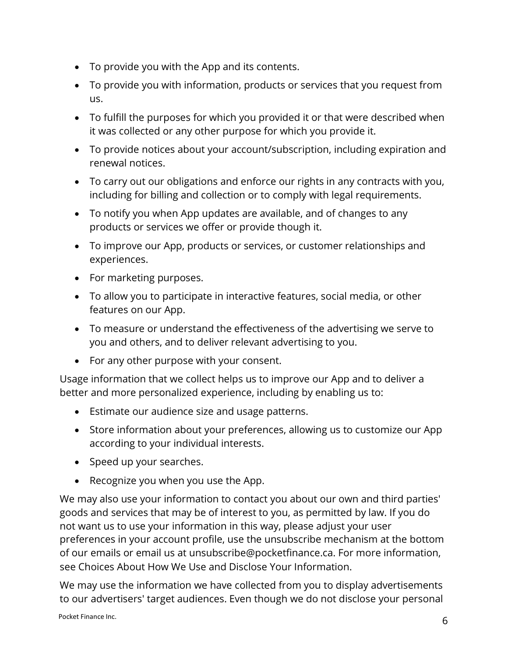- To provide you with the App and its contents.
- To provide you with information, products or services that you request from us.
- To fulfill the purposes for which you provided it or that were described when it was collected or any other purpose for which you provide it.
- To provide notices about your account/subscription, including expiration and renewal notices.
- To carry out our obligations and enforce our rights in any contracts with you, including for billing and collection or to comply with legal requirements.
- To notify you when App updates are available, and of changes to any products or services we offer or provide though it.
- To improve our App, products or services, or customer relationships and experiences.
- For marketing purposes.
- To allow you to participate in interactive features, social media, or other features on our App.
- To measure or understand the effectiveness of the advertising we serve to you and others, and to deliver relevant advertising to you.
- For any other purpose with your consent.

Usage information that we collect helps us to improve our App and to deliver a better and more personalized experience, including by enabling us to:

- Estimate our audience size and usage patterns.
- Store information about your preferences, allowing us to customize our App according to your individual interests.
- Speed up your searches.
- Recognize you when you use the App.

We may also use your information to contact you about our own and third parties' goods and services that may be of interest to you, as permitted by law. If you do not want us to use your information in this way, please adjust your user preferences in your account profile, use the unsubscribe mechanism at the bottom of our emails or email us at unsubscribe@pocketfinance.ca. For more information, see [Choices About How We Use and Disclose Your Information.](#page-8-0)

We may use the information we have collected from you to display advertisements to our advertisers' target audiences. Even though we do not disclose your personal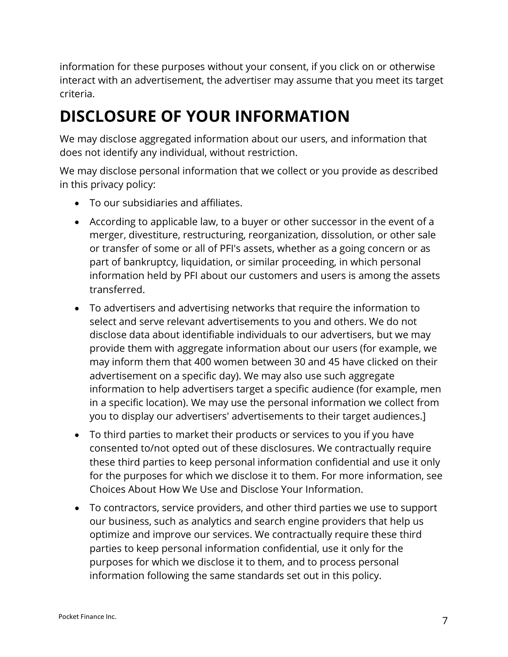information for these purposes without your consent, if you click on or otherwise interact with an advertisement, the advertiser may assume that you meet its target criteria.

#### **DISCLOSURE OF YOUR INFORMATION**

We may disclose aggregated information about our users, and information that does not identify any individual, without restriction.

We may disclose personal information that we collect or you provide as described in this privacy policy:

- To our subsidiaries and affiliates.
- According to applicable law, to a buyer or other successor in the event of a merger, divestiture, restructuring, reorganization, dissolution, or other sale or transfer of some or all of PFI's assets, whether as a going concern or as part of bankruptcy, liquidation, or similar proceeding, in which personal information held by PFI about our customers and users is among the assets transferred.
- To advertisers and advertising networks that require the information to select and serve relevant advertisements to you and others. We do not disclose data about identifiable individuals to our advertisers, but we may provide them with aggregate information about our users (for example, we may inform them that 400 women between 30 and 45 have clicked on their advertisement on a specific day). We may also use such aggregate information to help advertisers target a specific audience (for example, men in a specific location). We may use the personal information we collect from you to display our advertisers' advertisements to their target audiences.]
- To third parties to market their products or services to you if you have consented to/not opted out of these disclosures. We contractually require these third parties to keep personal information confidential and use it only for the purposes for which we disclose it to them. For more information, see [Choices About How We Use and Disclose Your Information.](#page-8-0)
- To contractors, service providers, and other third parties we use to support our business, such as analytics and search engine providers that help us optimize and improve our services. We contractually require these third parties to keep personal information confidential, use it only for the purposes for which we disclose it to them, and to process personal information following the same standards set out in this policy.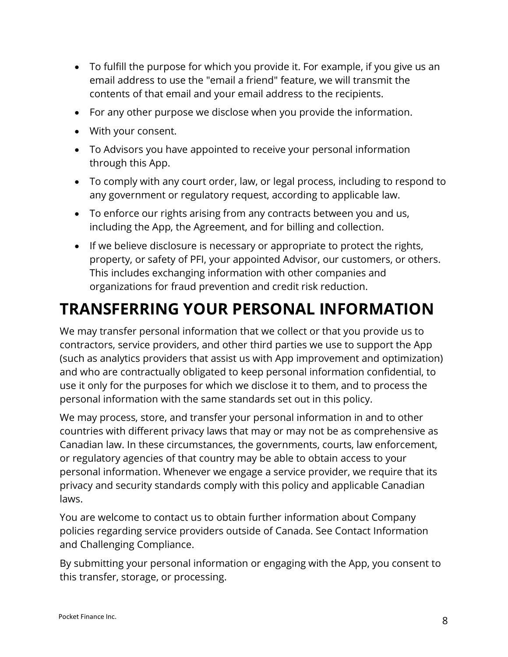- To fulfill the purpose for which you provide it. For example, if you give us an email address to use the "email a friend" feature, we will transmit the contents of that email and your email address to the recipients.
- For any other purpose we disclose when you provide the information.
- With your consent.
- To Advisors you have appointed to receive your personal information through this App.
- To comply with any court order, law, or legal process, including to respond to any government or regulatory request, according to applicable law.
- To enforce our rights arising from any contracts between you and us, including the App, the Agreement, and for billing and collection.
- If we believe disclosure is necessary or appropriate to protect the rights, property, or safety of PFI, your appointed Advisor, our customers, or others. This includes exchanging information with other companies and organizations for fraud prevention and credit risk reduction.

#### **TRANSFERRING YOUR PERSONAL INFORMATION**

We may transfer personal information that we collect or that you provide us to contractors, service providers, and other third parties we use to support the App (such as analytics providers that assist us with App improvement and optimization) and who are contractually obligated to keep personal information confidential, to use it only for the purposes for which we disclose it to them, and to process the personal information with the same standards set out in this policy.

We may process, store, and transfer your personal information in and to other countries with different privacy laws that may or may not be as comprehensive as Canadian law. In these circumstances, the governments, courts, law enforcement, or regulatory agencies of that country may be able to obtain access to your personal information. Whenever we engage a service provider, we require that its privacy and security standards comply with this policy and applicable Canadian laws.

You are welcome to contact us to obtain further information about Company policies regarding service providers outside of Canada. See [Contact Information](#page-11-1)  [and Challenging Compliance.](#page-11-1)

By submitting your personal information or engaging with the App, you consent to this transfer, storage, or processing.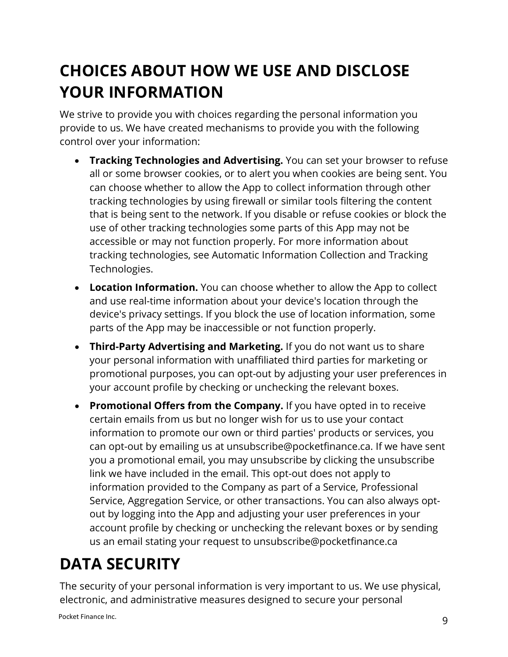#### <span id="page-8-0"></span>**CHOICES ABOUT HOW WE USE AND DISCLOSE YOUR INFORMATION**

We strive to provide you with choices regarding the personal information you provide to us. We have created mechanisms to provide you with the following control over your information:

- **Tracking Technologies and Advertising.** You can set your browser to refuse all or some browser cookies, or to alert you when cookies are being sent. You can choose whether to allow the App to collect information through other tracking technologies by using firewall or similar tools filtering the content that is being sent to the network. If you disable or refuse cookies or block the use of other tracking technologies some parts of this App may not be accessible or may not function properly. For more information about tracking technologies, see [Automatic Information Collection and Tracking](#page-3-0)  [Technologies.](#page-3-0)
- **Location Information.** You can choose whether to allow the App to collect and use real-time information about your device's location through the device's privacy settings. If you block the use of location information, some parts of the App may be inaccessible or not function properly.
- **Third-Party Advertising and Marketing.** If you do not want us to share your personal information with unaffiliated third parties for marketing or promotional purposes, you can opt-out by adjusting your user preferences in your account profile by checking or unchecking the relevant boxes.
- **Promotional Offers from the Company.** If you have opted in to receive certain emails from us but no longer wish for us to use your contact information to promote our own or third parties' products or services, you can opt-out by emailing us at unsubscribe@pocketfinance.ca. If we have sent you a promotional email, you may unsubscribe by clicking the unsubscribe link we have included in the email. This opt-out does not apply to information provided to the Company as part of a Service, Professional Service, Aggregation Service, or other transactions. You can also always optout by logging into the App and adjusting your user preferences in your account profile by checking or unchecking the relevant boxes or by sending us an email stating your request to unsubscribe@pocketfinance.ca

## **DATA SECURITY**

The security of your personal information is very important to us. We use physical, electronic, and administrative measures designed to secure your personal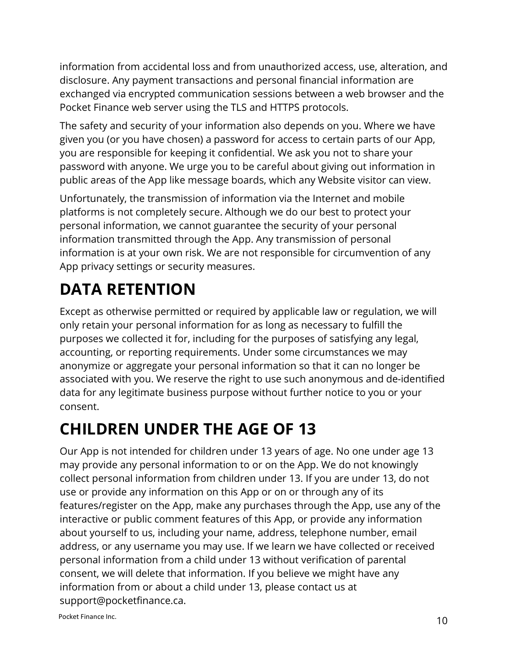information from accidental loss and from unauthorized access, use, alteration, and disclosure. Any payment transactions and personal financial information are exchanged via encrypted communication sessions between a web browser and the Pocket Finance web server using the TLS and HTTPS protocols.

The safety and security of your information also depends on you. Where we have given you (or you have chosen) a password for access to certain parts of our App, you are responsible for keeping it confidential. We ask you not to share your password with anyone. We urge you to be careful about giving out information in public areas of the App like message boards, which any Website visitor can view.

Unfortunately, the transmission of information via the Internet and mobile platforms is not completely secure. Although we do our best to protect your personal information, we cannot guarantee the security of your personal information transmitted through the App. Any transmission of personal information is at your own risk. We are not responsible for circumvention of any App privacy settings or security measures.

# **DATA RETENTION**

Except as otherwise permitted or required by applicable law or regulation, we will only retain your personal information for as long as necessary to fulfill the purposes we collected it for, including for the purposes of satisfying any legal, accounting, or reporting requirements. Under some circumstances we may anonymize or aggregate your personal information so that it can no longer be associated with you. We reserve the right to use such anonymous and de-identified data for any legitimate business purpose without further notice to you or your consent.

### **CHILDREN UNDER THE AGE OF 13**

Our App is not intended for children under 13 years of age. No one under age 13 may provide any personal information to or on the App. We do not knowingly collect personal information from children under 13. If you are under 13, do not use or provide any information on this App or on or through any of its features/register on the App, make any purchases through the App, use any of the interactive or public comment features of this App, or provide any information about yourself to us, including your name, address, telephone number, email address, or any username you may use. If we learn we have collected or received personal information from a child under 13 without verification of parental consent, we will delete that information. If you believe we might have any information from or about a child under 13, please contact us at support@pocketfinance.ca.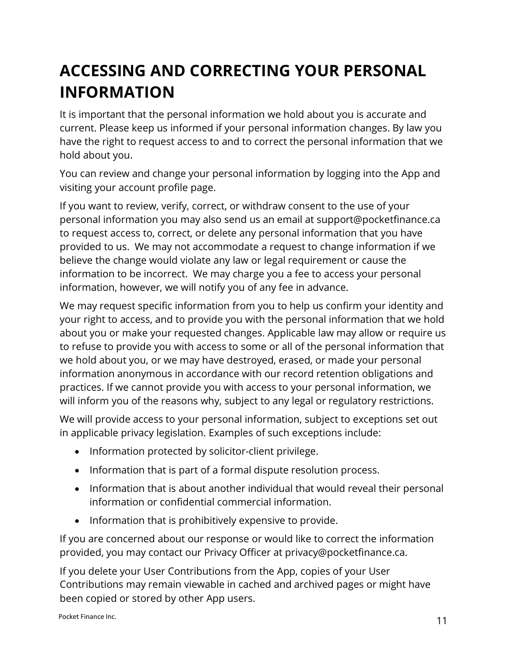#### **ACCESSING AND CORRECTING YOUR PERSONAL INFORMATION**

It is important that the personal information we hold about you is accurate and current. Please keep us informed if your personal information changes. By law you have the right to request access to and to correct the personal information that we hold about you.

You can review and change your personal information by logging into the App and visiting your account profile page.

If you want to review, verify, correct, or withdraw consent to the use of your personal information you may also send us an email at support@pocketfinance.ca to request access to, correct, or delete any personal information that you have provided to us. We may not accommodate a request to change information if we believe the change would violate any law or legal requirement or cause the information to be incorrect. We may charge you a fee to access your personal information, however, we will notify you of any fee in advance.

We may request specific information from you to help us confirm your identity and your right to access, and to provide you with the personal information that we hold about you or make your requested changes. Applicable law may allow or require us to refuse to provide you with access to some or all of the personal information that we hold about you, or we may have destroyed, erased, or made your personal information anonymous in accordance with our record retention obligations and practices. If we cannot provide you with access to your personal information, we will inform you of the reasons why, subject to any legal or regulatory restrictions.

We will provide access to your personal information, subject to exceptions set out in applicable privacy legislation. Examples of such exceptions include:

- Information protected by solicitor-client privilege.
- Information that is part of a formal dispute resolution process.
- Information that is about another individual that would reveal their personal information or confidential commercial information.
- Information that is prohibitively expensive to provide.

If you are concerned about our response or would like to correct the information provided, you may contact our Privacy Officer at privacy@pocketfinance.ca.

If you delete your User Contributions from the App, copies of your User Contributions may remain viewable in cached and archived pages or might have been copied or stored by other App users.